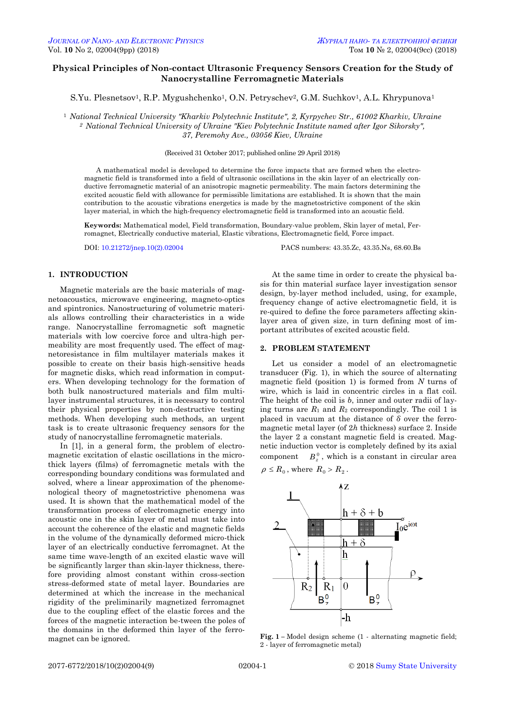# **Physical Principles of Non-contact Ultrasonic Frequency Sensors Creation for the Study of Nanocrystalline Ferromagnetic Materials**

S.Yu. Plesnetsov<sup>1</sup>, R.P. Mygushchenko<sup>1</sup>, O.N. Petryschev<sup>2</sup>, G.M. Suchkov<sup>1</sup>, A.L. Khrypunova<sup>1</sup>

<sup>1</sup> *National Technical University "Kharkiv Polytechnic Institute", 2, Kyrpychev Str., 61002 Kharkiv, Ukraine <sup>2</sup> National Technical University of Ukraine "Kiev Polytechnic Institute named after Igor Sikorsky", 37, Peremohy Ave., 03056 Kiev, Ukraine*

(Received 31 October 2017; published online 29 April 2018)

A mathematical model is developed to determine the force impacts that are formed when the electromagnetic field is transformed into a field of ultrasonic oscillations in the skin layer of an electrically conductive ferromagnetic material of an anisotropic magnetic permeability. The main factors determining the excited acoustic field with allowance for permissible limitations are established. It is shown that the main contribution to the acoustic vibrations energetics is made by the magnetostrictive component of the skin layer material, in which the high-frequency electromagnetic field is transformed into an acoustic field.

**Keywords:** Mathematical model, Field transformation, Boundary-value problem, Skin layer of metal, Ferromagnet, Electrically conductive material, Elastic vibrations, Electromagnetic field, Force impact.

DOI[: 10.21272/jnep.10\(2\).02004](https://doi.org/10.21272/jnep.10(2).02004) PACS numbers: 43.35.Zc, 43.35.Ns, 68.60.Bs

## **1. INTRODUCTION**

Magnetic materials are the basic materials of magnetoacoustics, microwave engineering, magneto-optics and spintronics. Nanostructuring of volumetric materials allows controlling their characteristics in a wide range. Nanocrystalline ferromagnetic soft magnetic materials with low coercive force and ultra-high permeability are most frequently used. The effect of magnetoresistance in film multilayer materials makes it possible to create on their basis high-sensitive heads for magnetic disks, which read information in computers. When developing technology for the formation of both bulk nanostructured materials and film multilayer instrumental structures, it is necessary to control their physical properties by non-destructive testing methods. When developing such methods, an urgent task is to create ultrasonic frequency sensors for the study of nanocrystalline ferromagnetic materials.

In [1], in a general form, the problem of electromagnetic excitation of elastic oscillations in the microthick layers (films) of ferromagnetic metals with the corresponding boundary conditions was formulated and solved, where a linear approximation of the phenomenological theory of magnetostrictive phenomena was used. It is shown that the mathematical model of the transformation process of electromagnetic energy into acoustic one in the skin layer of metal must take into account the coherence of the elastic and magnetic fields in the volume of the dynamically deformed micro-thick layer of an electrically conductive ferromagnet. At the same time wave-length of an excited elastic wave will be significantly larger than skin-layer thickness, therefore providing almost constant within cross-section stress-deformed state of metal layer. Boundaries are determined at which the increase in the mechanical rigidity of the preliminarily magnetized ferromagnet due to the coupling effect of the elastic forces and the forces of the magnetic interaction be-tween the poles of the domains in the deformed thin layer of the ferromagnet can be ignored.

At the same time in order to create the physical basis for thin material surface layer investigation sensor design, by-layer method included, using, for example, frequency change of active electromagnetic field, it is re-quired to define the force parameters affecting skinlayer area of given size, in turn defining most of important attributes of excited acoustic field.

## **2. PROBLEM STATEMENT**

Let us consider a model of an electromagnetic transducer (Fig. 1), in which the source of alternating magnetic field (position 1) is formed from *N* turns of wire, which is laid in concentric circles in a flat coil. The height of the coil is *b*, inner and outer radii of laying turns are  $R_1$  and  $R_2$  correspondingly. The coil 1 is placed in vacuum at the distance of *δ* over the ferromagnetic metal layer (of 2*h* thickness) surface 2. Inside the layer 2 a constant magnetic field is created. Magnetic induction vector is completely defined by its axial component  $B_z^0$ , which is a constant in circular area

$$
\rho \leq R_0
$$
, where  $R_0 > R_2$ .



<span id="page-0-3"></span><span id="page-0-2"></span><span id="page-0-1"></span><span id="page-0-0"></span>**Fig. 1 –** Model design scheme (1 - alternating magnetic field; 2 - layer of ferromagnetic metal)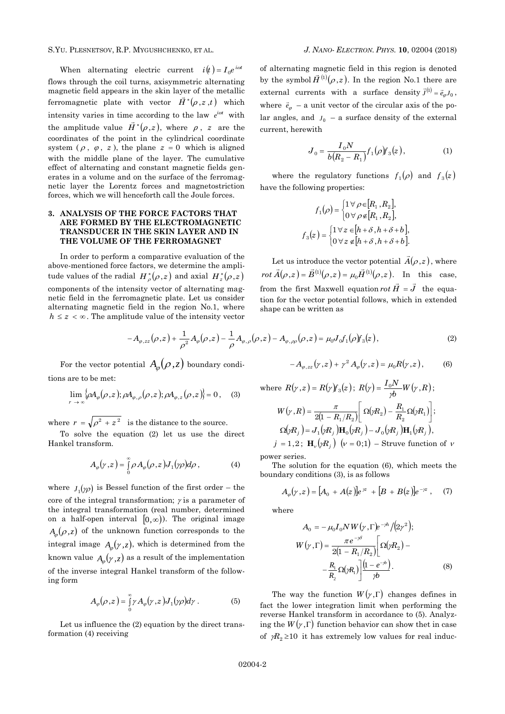S.YU. PLESNETSOV, R.P. MYGUSHCHENKO, ET AL. *J. NANO- ELECTRON. PHYS.* **[10](#page-0-2)**, [02004](#page-0-2) [\(2018\)](#page-0-2)

When alternating electric current  $i(t) = I_0 e^{i\omega t}$ flows through the coil turns, axisymmetric alternating magnetic field appears in the skin layer of the metallic ferromagnetic plate with vector  $\vec{H}^*(\rho,z,t)$  which intensity varies in time according to the law  $e^{i\omega t}$  with the amplitude value  $\vec{H}^*(\rho,z)$ , where  $\rho$ , *z* are the coordinates of the point in the cylindrical coordinate system  $(\rho, \varphi, z)$ , the plane  $z = 0$  which is aligned with the middle plane of the layer. The cumulative effect of alternating and constant magnetic fields generates in a volume and on the surface of the ferromagnetic layer the Lorentz forces and magnetostriction forces, which we will henceforth call the Joule forces.

## **3. ANALYSIS OF THE FORCE FACTORS THAT ARE FORMED BY THE ELECTROMAGNETIC TRANSDUCER IN THE SKIN LAYER AND IN THE VOLUME OF THE FERROMAGNET**

In order to perform a comparative evaluation of the above-mentioned force factors, we determine the amplitude values of the radial  $H^*_{\rho}(\rho, z)$  and axial  $H^*_{z}(\rho, z)$ components of the intensity vector of alternating magnetic field in the ferromagnetic plate. Let us consider alternating magnetic field in the region No.1, where  $h \leq z < \infty$ . The amplitude value of the intensity vector of alternating magnetic field in this region is denoted by the symbol  $\vec{H}^{(1)}(\rho,z)$  $\vec{H}^{(1)}(\rho,z)$ . In the region No.1 there are external currents with a surface density  $\vec{J}^{(1)} = \vec{e}_{\varphi} J_0$ , where  $\vec{e}_{\varphi}$  – a unit vector of the circular axis of the polar angles, and  $J_0$  – a surface density of the external current, herewith

$$
J_0 = \frac{I_0 N}{b(R_2 - R_1)} f_1(\rho) f_3(z), \tag{1}
$$

where the regulatory functions  $f_1(\rho)$  and  $f_3(z)$ have the following properties:

$$
f_1(\rho) = \begin{cases} 1 \,\forall \, \rho \in [R_1, R_2], \\ 0 \,\forall \, \rho \notin [R_1, R_2], \end{cases}
$$

$$
f_3(z) = \begin{cases} 1 \,\forall \, z \in [h + \delta, h + \delta + b], \\ 0 \,\forall \, z \notin [h + \delta, h + \delta + b]. \end{cases}
$$

Let us introduce the vector potential  $A(\rho, z)$  $\vec{A}(\rho,z)$ , where  $rot \vec{A}(\rho, z) = \vec{B}^{(1)}(\rho, z) = \mu_0 \vec{H}^{(1)}(\rho, z)$  $\rightarrow$   $\rightarrow$   $\rightarrow$   $\rightarrow$   $\rightarrow$   $\rightarrow$  $= B^{(1)}(\rho, z) = \mu_0 H^{(1)}(\rho, z)$ . In this case, from the first Maxwell equation *rot*  $\vec{H} = \vec{J}$  $= J$  the equation for the vector potential follows, which in extended shape can be written as

$$
-A_{\varphi,zz}(\rho,z) + \frac{1}{\rho^2}A_{\varphi}(\rho,z) - \frac{1}{\rho}A_{\varphi,\rho}(\rho,z) - A_{\varphi,\rho\rho}(\rho,z) = \mu_0 J_0 f_1(\rho) f_3(z), \qquad (2)
$$

For the vector potential  $A_{\varphi}(\rho, z)$  boundary conditions are to be met:

$$
\lim_{r \to \infty} {\left\{\rho A_{\varphi}(\rho,z); \rho A_{\varphi,\rho}(\rho,z); \rho A_{\varphi,z}(\rho,z)\right\}} = 0, \quad (3)
$$

where  $r = \sqrt{\rho^2 + z^2}$  is the distance to the source.

To solve the equation (2) let us use the direct Hankel transform.

$$
A_{\varphi}(\gamma,z) = \int_{0}^{\infty} \rho A_{\varphi}(\rho,z) J_{1}(\gamma \rho) d\rho , \qquad (4)
$$

where  $J_1(\gamma \rho)$  is Bessel function of the first order – the core of the integral transformation;  $\gamma$  is a parameter of the integral transformation (real number, determined on a half-open interval  $[0,\infty)$ ). The original image  $A_{\varphi}(\rho,z)$  of the unknown function corresponds to the integral image  $A_{\varphi}(\gamma, z)$ , which is determined from the known value  $A_{\varphi}(\gamma,z)$  as a result of the implementation of the inverse integral Hankel transform of the following form

$$
A_{\varphi}(\rho,z) = \int_{0}^{\infty} \gamma A_{\varphi}(\gamma,z) J_{1}(\gamma \rho) d\gamma . \tag{5}
$$

Let us influence the (2) equation by the direct transformation (4) receiving

where 
$$
R(\gamma, z) = R(\gamma) f_3(z)
$$
;  $R(\gamma) = \frac{I_0 N}{\gamma b} W(\gamma, R)$ ;  
\n
$$
W(\gamma, R) = \frac{\pi}{2(1 - R_1/R_2)} \left[ \Omega(\gamma R_2) - \frac{R_1}{R_2} \Omega(\gamma R_1) \right];
$$
\n
$$
\Omega(\gamma R_j) = J_1(\gamma R_j) \mathbf{H}_0(\gamma R_j) - J_0(\gamma R_j) \mathbf{H}_1(\gamma R_j),
$$

 $-A_{\varphi,zz}(y,z)+\gamma^2 A_{\varphi}(y,z)=\mu_0 R(y,z),$  (6)

 $j = 1,2$ ;  $\mathbf{H}_{\nu}(\gamma R_j)$   $(\nu = 0;1)$  – Struve function of  $\nu$ power series.

The solution for the equation (6), which meets the boundary conditions (3), is as follows

$$
A_{\varphi}(\gamma, z) = [A_0 + A(z)]e^{\gamma z} + [B + B(z)]e^{-\gamma z}, \quad (7)
$$

where

$$
A_0 = -\mu_0 I_0 N W(\gamma, \Gamma) e^{-\gamma h} / (2\gamma^2);
$$
  
\n
$$
W(\gamma, \Gamma) = \frac{\pi e^{-\gamma \delta}}{2(1 - R_1/R_2)} \left[ \Omega(\gamma R_2) - \frac{R_1}{R_2} \Omega(\gamma R_1) \right] \frac{(1 - e^{-\gamma b})}{\gamma b}.
$$
 (8)

The way the function  $W(\gamma, \Gamma)$  changes defines in fact the lower integration limit when performing the reverse Hankel transform in accordance to (5). Analyzing the  $W(\gamma, \Gamma)$  function behavior can show thet in case of  $\mathcal{R}_2$  ≥10 it has extremely low values for real induc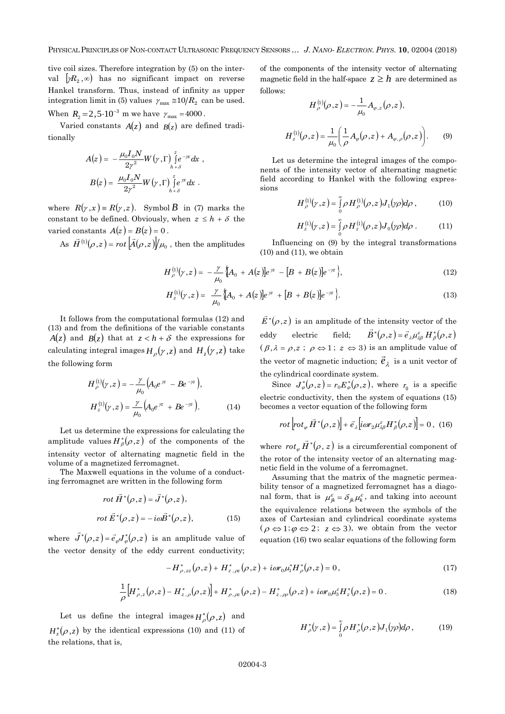tive coil sizes. Therefore integration by (5) on the interval  $\left[\gamma R_{2},\infty\right)$  has no significant impact on reverse Hankel transform. Thus, instead of infinity as upper integration limit in (5) values  $\gamma_{\text{max}} \approx 10/R_2$  can be used. When  $R_2 = 2{,}5{\cdot}10^{-3}$  m we have  $\gamma_{\text{max}} = 4000$ .

Varied constants  $A(z)$  and  $B(z)$  are defined traditionally

$$
A(z) = -\frac{\mu_0 I_0 N}{2\gamma^2} W(\gamma, \Gamma) \int_{h+\delta}^{z} e^{-\gamma x} dx ,
$$
  

$$
B(z) = \frac{\mu_0 I_0 N}{2\gamma^2} W(\gamma, \Gamma) \int_{h+\delta}^{z} e^{-\gamma x} dx .
$$

where  $R(\gamma, x) = R(\gamma, z)$ . Symbol *B* in (7) marks the constant to be defined. Obviously, when  $z \leq h + \delta$  the varied constants  $A(z) = B(z) = 0$ .

As  $\vec{H}^{(1)}(\rho,z) = rot \left[\vec{A}(\rho,z)\right]/\mu_0$  $= rot |A(\rho, z)|/\mu_0$ , then the amplitudes of the components of the intensity vector of alternating magnetic field in the half-space  $z \geq h$  are determined as follows:

$$
H_{\rho}^{(1)}(\rho,z) = -\frac{1}{\mu_0} A_{\varphi,z}(\rho,z),
$$
  

$$
H_{z}^{(1)}(\rho,z) = \frac{1}{\mu_0} \left( \frac{1}{\rho} A_{\varphi}(\rho,z) + A_{\varphi,\rho}(\rho,z) \right).
$$
 (9)

Let us determine the integral images of the components of the intensity vector of alternating magnetic field according to Hankel with the following expressions

$$
H_{\rho}^{(1)}(\gamma,z) = \int_{0}^{\infty} \rho H_{\rho}^{(1)}(\rho,z) J_{1}(\gamma \rho) d\rho , \qquad (10)
$$

$$
H_z^{(1)}(\gamma,z) = \int_0^\infty \rho \, H_z^{(1)}(\rho,z) J_0(\gamma \rho) d\rho \; . \tag{11}
$$

Influencing on (9) by the integral transformations  $(10)$  and  $(11)$ , we obtain

 $\vec{E}^*(\rho,z)$  is an amplitude of the intensity vector of the

 $(\beta, \lambda = \rho, z; \rho \Leftrightarrow 1; z \Leftrightarrow 3)$  is an amplitude value of

 $\vec{B}^*(\rho,z) = \vec{e}_{\lambda} \mu_{\lambda\beta}^{\varepsilon} H_{\beta}^*(\rho,z)$ 

$$
H_{\rho}^{(1)}(\gamma,z) = -\frac{\gamma}{\mu_0} \left[ A_0 + A(z) \right] e^{i\alpha} - \left[ B + B(z) \right] e^{-i\alpha} \},\tag{12}
$$

$$
H_z^{(1)}(\gamma, z) = \frac{\gamma}{\mu_0} \Big[ A_0 + A(z) \Big] e^{\gamma z} + [B + B(z)] e^{-\gamma z} \Big]. \tag{13}
$$

eddy electric field;

It follows from the computational formulas (12) and (13) and from the definitions of the variable constants  $A(z)$  and  $B(z)$  that at  $z < h + \delta$  the expressions for calculating integral images  $H_{\rho}(\gamma, z)$  and  $H_{z}(\gamma, z)$  take the following form

$$
H_{\rho}^{(1)}(\gamma, z) = -\frac{\gamma}{\mu_0} \left( A_0 e^{\gamma z} - B e^{-\gamma z} \right),
$$
  

$$
H_z^{(1)}(\gamma, z) = \frac{\gamma}{\mu_0} \left( A_0 e^{\gamma z} + B e^{-\gamma z} \right).
$$
 (14)

Let us determine the expressions for calculating the amplitude values  $H^*_{\beta}(\rho,z)$  of the components of the intensity vector of alternating magnetic field in the volume of a magnetized ferromagnet.

The Maxwell equations in the volume of a conducting ferromagnet are written in the following form

$$
rot \vec{H}^*(\rho, z) = \vec{J}^*(\rho, z),
$$
  

$$
rot \vec{E}^*(\rho, z) = -i\omega \vec{B}^*(\rho, z),
$$
 (15)

where  $\vec{J}^*(\rho,z) = \vec{e}_{\varphi} J_{\varphi}^*(\rho,z)$ is an amplitude value of the vector density of the eddy current conductivity;

the vector of magnetic induction; 
$$
\vec{e}_{\lambda}
$$
 is a unit vector of  
the cylinderical coordinate system.  
Since  $J_{\varphi}^{*}(\rho, z) = r_0 E_{\varphi}^{*}(\rho, z)$ , where  $r_0$  is a specific  
electric conductivity, then the system of equations (15)  
becomes a vector equation of the following form

$$
rot\left[ rot_{\varphi} \vec{H}^*(\rho,z) \right] + \vec{e}_{\lambda} \left[ i \omega r_2 \mu_{\lambda\beta}^{\varepsilon} H^*_{\beta}(\rho,z) \right] = 0 \,, \tag{16}
$$

where  $rot_{\varphi} \vec{H}^*(\rho, z)$ is a circumferential component of the rotor of the intensity vector of an alternating magnetic field in the volume of a ferromagnet.

Assuming that the matrix of the magnetic permeability tensor of a magnetized ferromagnet has a diagonal form, that is  $\mu_{jk}^{\varepsilon} = \delta_{jk} \mu_k^{\varepsilon}$ , and taking into account the equivalence relations between the symbols of the axes of Cartesian and cylindrical coordinate systems  $(\rho \Leftrightarrow 1; \varphi \Leftrightarrow 2; z \Leftrightarrow 3)$ , we obtain from the vector equation (16) two scalar equations of the following form

$$
-H_{\rho,zz}^*(\rho,z) + H_{z,\alpha}^*(\rho,z) + i\omega r_0 \mu_1^* H_{\rho}^*(\rho,z) = 0, \qquad (17)
$$

$$
\frac{1}{\rho} \Big[ H^*_{\rho,z}(\rho,z) - H^*_{z,\rho}(\rho,z) \Big] + H^*_{\rho,\rho z}(\rho,z) - H^*_{z,\rho\rho}(\rho,z) + i\omega r_0 \mu_3^c H^*_{z}(\rho,z) = 0 \,. \tag{18}
$$

Let us define the integral images  $H_{\rho}^{*}(\rho,z)$  and  $H_z^*(\rho, z)$  by the identical expressions (10) and (11) of the relations, that is,

$$
H_{\rho}^*(\gamma,z) = \int_{0}^{\infty} \rho H_{\rho}^*(\rho,z) J_1(\gamma \rho) d\rho, \qquad (19)
$$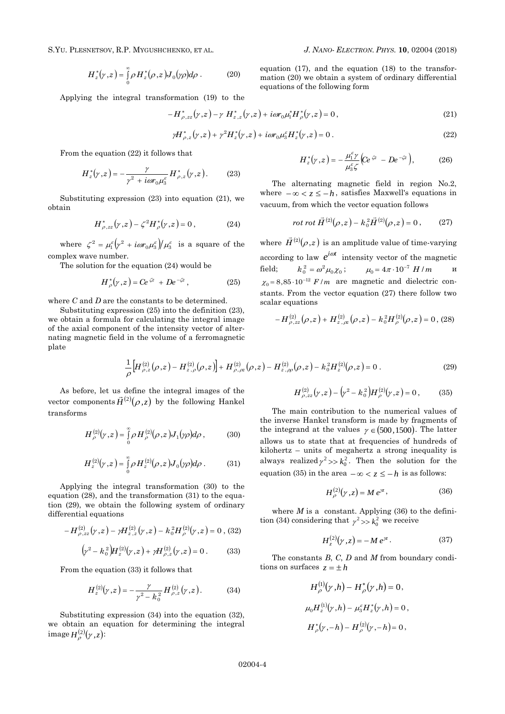S.YU. PLESNETSOV, R.P. MYGUSHCHENKO, ET AL. *J. NANO- ELECTRON. PHYS.* **[10](#page-0-2)**, [02004](#page-0-2) [\(2018\)](#page-0-2)

$$
H_z^*(\gamma,z) = \int_0^\infty \rho H_z^*(\rho,z) J_0(\gamma \rho) d\rho . \tag{20}
$$

Applying the integral transformation (19) to the

$$
-H_{\rho,zz}^*(\gamma,z) - \gamma H_{z,z}^*(\gamma,z) + i\omega r_0 \mu_1^* H_{\rho}^*(\gamma,z) = 0,
$$
\n(21)

equations of the following form

$$
\gamma H_{\rho,z}^*(\gamma,z) + \gamma^2 H_z^*(\gamma,z) + i\omega r_0 \mu_3^c H_z^*(\gamma,z) = 0.
$$
 (22)

From the equation (22) it follows that

$$
H_z^*(\gamma, z) = -\frac{\gamma}{\gamma^2 + i\omega r_0 \mu_3^c} H_{\rho, z}^*(\gamma, z). \tag{23}
$$

Substituting expression (23) into equation (21), we obtain

$$
H^*_{\rho,zz}(\gamma,z) - \zeta^2 H^*_{\rho}(\gamma,z) = 0, \qquad (24)
$$

where  $\zeta^2 = \mu_1^{\varepsilon} \left( \gamma^2 + i \omega r_0 \mu_3^{\varepsilon} \right) / \mu_3^{\varepsilon}$  is a square of the complex wave number.

The solution for the equation (24) would be

$$
H_{\rho}^{*}(\gamma, z) = Ce^{\zeta z} + De^{-\zeta z}, \qquad (25)
$$

where *C* and *D* are the constants to be determined.

Substituting expression (25) into the definition (23), we obtain a formula for calculating the integral image of the axial component of the intensity vector of alternating magnetic field in the volume of a ferromagnetic plate

$$
H_z^*(\gamma, z) = -\frac{\mu_1^{\varepsilon} \gamma}{\mu_3^{\varepsilon} \zeta} \Big( C e^{\zeta z} - D e^{-\zeta z} \Big), \tag{26}
$$

The alternating magnetic field in region No.2, where  $-\infty < z \leq -h$ , satisfies Maxwell's equations in vacuum, from which the vector equation follows

$$
rot \, rot \, \vec{H}^{(2)}(\rho, z) - k_0^2 \vec{H}^{(2)}(\rho, z) = 0 \,, \qquad (27)
$$

where  $\vec{H}^{(2)}(\rho,z)$  $\vec{H}^{(2)}(\rho,z)$  is an amplitude value of time-varying according to law  $e^{i\omega t}$  intensity vector of the magnetic field;  $k_0^2 = \omega^2 \mu_0 \chi_0;$   $\mu_0 = 4\pi \cdot 10^{-7}$  *H* / *m* и  $\chi_0 = 8.85 \cdot 10^{-12}$  *F /m* are magnetic and dielectric constants. From the vector equation (27) there follow two scalar equations

$$
-H^{(2)}_{\rho,zz}(\rho,z)+H^{(2)}_{z,\alpha}(\rho,z)-k_0^2H^{(2)}_{\rho}(\rho,z)=0\,,\,(28)
$$

$$
\frac{1}{\rho} \Big[ H^{(2)}_{\rho,z}(\rho,z) - H^{(2)}_{z,\rho}(\rho,z) \Big] + H^{(2)}_{\rho,\rho z}(\rho,z) - H^{(2)}_{z,\rho\rho}(\rho,z) - k_0^2 H^{(2)}_z(\rho,z) = 0 \ . \tag{29}
$$

As before, let us define the integral images of the vector components  $\vec{H}^{(2)}(\rho, z)$  by the following Hankel transforms

$$
H^{(2)}_{\rho}(\gamma,z) = \int_{0}^{\infty} \rho H^{(2)}_{\rho}(\rho,z) J_{1}(\gamma \rho) d\rho , \qquad (30)
$$

$$
H_z^{(2)}(\gamma,z) = \int_0^\infty \rho H_z^{(2)}(\rho,z) J_0(\gamma \rho) d\rho . \tag{31}
$$

Applying the integral transformation (30) to the equation (28), and the transformation (31) to the equation (29), we obtain the following system of ordinary differential equations

$$
-H^{(2)}_{\rho,zz}(y,z) - \gamma H^{(2)}_{z,z}(y,z) - k_0^2 H^{(2)}_{\rho}(y,z) = 0, \, (32)
$$

$$
(\gamma^2 - k_0^2) H_z^{(2)}(\gamma, z) + \gamma H_{\rho, z}^{(2)}(\gamma, z) = 0.
$$
 (33)

From the equation (33) it follows that

$$
H_z^{(2)}(\gamma,z) = -\frac{\gamma}{\gamma^2 - k_0^2} H_{\rho,z}^{(2)}(\gamma,z).
$$
 (34)

Substituting expression (34) into the equation (32), we obtain an equation for determining the integral  $\mathrm{image}\, H^{(2)}_{\rho}(\gamma,z)$ :

$$
H^{(2)}_{\rho,zz}(y,z) - (y^2 - k_0^2)H^{(2)}_{\rho}(y,z) = 0, \qquad (35)
$$

The main contribution to the numerical values of the inverse Hankel transform is made by fragments of the integrand at the values  $\gamma \in (500, 1500)$ . The latter allows us to state that at frequencies of hundreds of kilohertz – units of megahertz a strong inequality is always realized  $\gamma^2 >> k_0^2$ . Then the solution for the equation (35) in the area  $-\infty < z \le -h$  is as follows:

$$
H_{\rho}^{(2)}(\gamma, z) = M e^{\gamma z}, \qquad (36)
$$

where  $M$  is a constant. Applying  $(36)$  to the definition (34) considering that  $\gamma^2 \gg k_0^2$  we receive

$$
H_z^{(2)}(\gamma, z) = -M e^{\gamma z}.
$$
 (37)

The constants *B*, *C*, *D* and *M* from boundary conditions on surfaces  $z = \pm h$ 

$$
H_{\rho}^{(1)}(\gamma, h) - H_{\rho}^{*}(\gamma, h) = 0,
$$
  
\n
$$
\mu_{0} H_{z}^{(1)}(\gamma, h) - \mu_{3}^{\varepsilon} H_{z}^{*}(\gamma, h) = 0,
$$
  
\n
$$
H_{\rho}^{*}(\gamma, -h) - H_{\rho}^{(2)}(\gamma, -h) = 0,
$$

equation (17), and the equation (18) to the transformation (20) we obtain a system of ordinary differential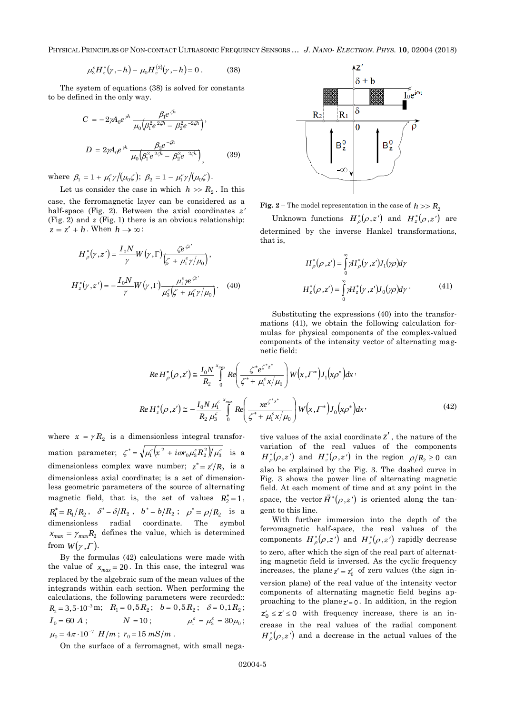PHYSICAL PRINCIPLES OF NON-CONTACT ULTRASONIC FREQUENCY SENSORS … *J. NANO- ELECTRON. PHYS.* **[10](#page-0-2)**, [02004](#page-0-2) [\(2018\)](#page-0-2)

$$
\mu_3^{\varepsilon} H_z^*(\gamma, -h) - \mu_0 H_z^{(2)}(\gamma, -h) = 0.
$$
 (38)

The system of equations (38) is solved for constants to be defined in the only way.

$$
C = -2\gamma A_0 e^{\gamma h} \frac{\beta_1 e^{\zeta h}}{\mu_0 \left(\beta_1^2 e^{\frac{2\zeta h}{\zeta}} - \beta_2^2 e^{-\frac{2\zeta h}{\zeta}}\right)},
$$
  

$$
D = 2\gamma A_0 e^{\gamma h} \frac{\beta_2 e^{-\zeta h}}{\mu_0 \left(\beta_1^2 e^{\frac{2\zeta h}{\zeta}} - \beta_2^2 e^{-\frac{2\zeta h}{\zeta}}\right)},
$$
(39)

where  $\beta_1 = 1 + \mu_1^{\varepsilon} \gamma / (\mu_0 \zeta); \ \beta_2 = 1 - \mu_1^{\varepsilon} \gamma / (\mu_0 \zeta).$ 

Let us consider the case in which  $h \gg R_2$ . In this case, the ferromagnetic layer can be considered as a half-space (Fig. 2). Between the axial coordinates *z* (Fig. 2) and *z* (Fig. 1) there is an obvious relationship:  $z = z' + h$ . When  $h \to \infty$ :

$$
H_{\rho}^{*}(\gamma, z') = \frac{I_{0}N}{\gamma}W(\gamma, \Gamma)\frac{\zeta e^{\zeta z'}}{\left(\zeta + \mu_{1}^{\varepsilon}\gamma/\mu_{0}\right)},
$$

$$
H_{z}^{*}(\gamma, z') = -\frac{I_{0}N}{\gamma}W(\gamma, \Gamma)\frac{\mu_{1}^{\varepsilon} \gamma e^{\zeta z'}}{\mu_{3}^{\varepsilon}\left(\zeta + \mu_{1}^{\varepsilon}\gamma/\mu_{0}\right)}.
$$
(40)



**Fig.** 2 – The model representation in the case of  $h \gg R_2$ 

Unknown functions  $H_{\rho}^{*}(\rho, z')$  and  $H_{z}^{*}(\rho, z')$  are determined by the inverse Hankel transformations, that is,

$$
H_{\rho}^*(\rho, z') = \int_{0}^{\infty} \gamma H_{\rho}^*(\gamma, z') J_1(\gamma \rho) d\gamma
$$
  

$$
H_z^*(\rho, z') = \int_{0}^{\infty} \gamma H_z^*(\gamma, z') J_0(\gamma \rho) d\gamma
$$
 (41)

Substituting the expressions (40) into the transformations (41), we obtain the following calculation formulas for physical components of the complex-valued components of the intensity vector of alternating magnetic field:

$$
Re\,H_{\rho}^{*}(\rho,z') \cong \frac{I_{0}N}{R_{2}} \int_{0}^{x_{\text{max}}} Re\left(\frac{\zeta^{*}e^{\zeta^{*}z^{*}}}{\zeta^{*}+\mu_{1}^{\varepsilon}x/\mu_{0}}\right) W(x,\Gamma^{*})J_{1}(x\rho^{*})dx
$$
\n
$$
Re\,H_{z}^{*}(\rho,z') \cong -\frac{I_{0}N\,\mu_{1}^{\varepsilon}X_{\text{max}}}{R_{2}\,\mu_{3}^{\varepsilon}} \int_{0}^{x_{\text{max}}} Re\left(\frac{xe^{\zeta^{*}z^{*}}}{\zeta^{*}+\mu_{1}^{\varepsilon}x/\mu_{0}}\right) W(x,\Gamma^{*})J_{0}(x\rho^{*})dx \tag{42}
$$

where  $x = \gamma R_2$  is a dimensionless integral transformation parameter;  $\zeta^* = \sqrt{\mu_1^{\varepsilon}} \left( x^2 + i \omega r_0 \mu_3^{\varepsilon} R_2^2 \right) / \mu_3^{\varepsilon}$  is a dimensionless complex wave number;  $z^* = z'/R_2$  is a dimensionless axial coordinate; is a set of dimensionless geometric parameters of the source of alternating magnetic field, that is, the set of values  $R_2^* = 1$ ,  $R_1^* = R_1/R_2$ ,  $\delta^* = \delta/R_2$ ,  $b^* = b/R_2$ ;  $\rho^* = \rho/R_2$  is a dimensionless radial coordinate. The symbol  $x_{max} = \gamma_{max} R_2$  defines the value, which is determined from  $W(\gamma, \Gamma)$ .

By the formulas (42) calculations were made with the value of  $x_{max} = 20$ . In this case, the integral was replaced by the algebraic sum of the mean values of the integrands within each section. When performing the calculations, the following parameters were recorded::  $R_2 = 3,5 \cdot 10^{-3} \text{ m}; \quad R_1 = 0,5 R_2; \quad b = 0,5 R_2; \quad \delta = 0,1 R_2;$  $I_0 = 60 A;$  $N = 10;$  $\mu_1^{\varepsilon} = \mu_3^{\varepsilon} = 30\mu_0;$  $\mu_0 = 4\pi \cdot 10^{-7}$   $H/m$ ;  $r_0 = 15$   $mS/m$ .

On the surface of a ferromagnet, with small nega-

tive values of the axial coordinate *z* , the nature of the variation of the real values of the components  $H_{\rho}^{*}(\rho, z')$  and  $H_{z}^{*}(\rho, z')$  in the region  $\rho/R_2 \ge 0$  can also be explained by the Fig. 3. The dashed curve in Fig. 3 shows the power line of alternating magnetic field. At each moment of time and at any point in the space, the vector  $\vec{H}^*(\rho,z')$  is oriented along the tangent to this line.

With further immersion into the depth of the ferromagnetic half-space, the real values of the components  $H_{\rho}^{*}(\rho,z')$  and  $H_{z}^{*}(\rho,z')$  rapidly decrease to zero, after which the sign of the real part of alternating magnetic field is inversed. As the cyclic frequency increases, the plane  $z' = z'_0$  of zero values (the sign inversion plane) of the real value of the intensity vector components of alternating magnetic field begins approaching to the plane $z' = 0$ . In addition, in the region  $z'_0 \leq z' \leq 0$  with frequency increase, there is an increase in the real values of the radial component  $H_{\rho}^{*}(\rho,z')$  and a decrease in the actual values of the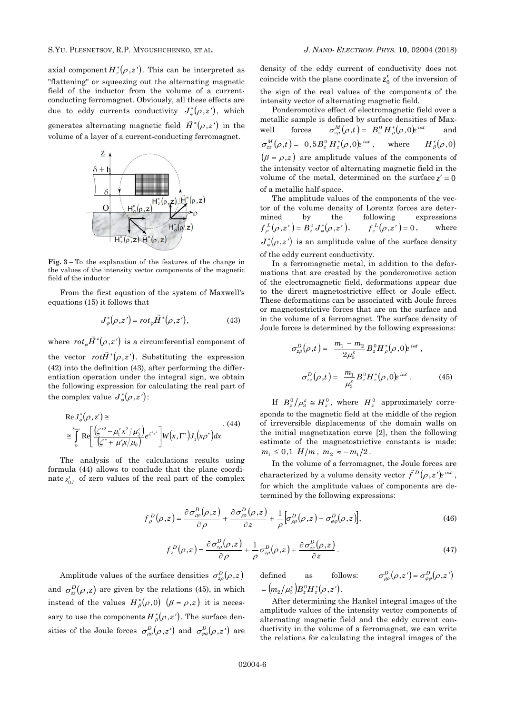axial component  $H_z^*(\rho, z')$ . This can be interpreted as "flattening" or squeezing out the alternating magnetic field of the inductor from the volume of a currentconducting ferromagnet. Obviously, all these effects are due to eddy currents conductivity  $J_{\varphi}^{*}(\rho,z')$ , which generates alternating magnetic field  $\overrightarrow{H}^*(\rho,z')$  in the volume of a layer of a current-conducting ferromagnet.



**Fig. 3** – To the explanation of the features of the change in the values of the intensity vector components of the magnetic field of the inductor

From the first equation of the system of Maxwell's equations (15) it follows that

$$
J_{\varphi}^*(\rho, z') = rot_{\varphi} \vec{H}^*(\rho, z'), \qquad (43)
$$

where  $rot_{\varphi}\vec{H}^{*}(\rho,z)$  $\overline{\phantom{a}}$ is a circumferential component of the vector  $rot\vec{H}^*(\rho,z')$ . Substituting the expression (42) into the definition (43), after performing the differentiation operation under the integral sign, we obtain the following expression for calculating the real part of the complex value  $J^*_{\varphi}(\rho, z')$ :

$$
\begin{aligned} &\text{Re}\,J_{\varphi}^*(\rho,z') \cong \\ &\cong \int_{0}^{x_{\text{max}}} \text{Re}\bigg[\frac{\left(\zeta^{*2} - \mu_1^{\varepsilon}x^2/\mu_3^{\varepsilon}\right)}{\left(\zeta^{*} + \mu_1^{\varepsilon}x/\mu_0\right)} e^{\zeta^{*}z^{*}}\bigg] W\big(x,\Gamma^{*}\big)J_{1}\big(x\rho^{*}\big)dx \end{aligned} \tag{44}
$$

The analysis of the calculations results using formula (44) allows to conclude that the plane coordinate  $z'_{0J}$  of zero values of the real part of the complex density of the eddy current of conductivity does not coincide with the plane coordinate  $z'_0$  of the inversion of the sign of the real values of the components of the intensity vector of alternating magnetic field.

Ponderomotive effect of electromagnetic field over a metallic sample is defined by surface densities of Maxwell forces  $\sigma_{z\rho}^M(\rho,t) = B_z^0 H_\rho^*(\rho,0)e^{i\omega t}$ and  $\sigma_{zz}^M(\rho,t) = 0.5 B_z^0 H_z^*(\rho,0) e^{i\omega t}$ , where  ${H}_{\beta}^{\ast}\big(\rho\,,0\big)$  $(\beta = \rho, z)$  are amplitude values of the components of the intensity vector of alternating magnetic field in the volume of the metal, determined on the surface  $z' = 0$ of a metallic half-space.

The amplitude values of the components of the vector of the volume density of Lorentz forces are determined by the following expressions  $f_{\rho}^{L}(\rho, z') = B_z^0 J_{\varphi}^*(\rho, z'), \qquad f_z^{L}(\rho, z') = 0$ , where  $J_{\varphi}^*(\rho, z')$  is an amplitude value of the surface density of the eddy current conductivity.

In a ferromagnetic metal, in addition to the deformations that are created by the ponderomotive action of the electromagnetic field, deformations appear due to the direct magnetostrictive effect or Joule effect. These deformations can be associated with Joule forces or magnetostrictive forces that are on the surface and in the volume of a ferromagnet. The surface density of Joule forces is determined by the following expressions:

$$
\sigma_{z\rho}^{D}(\rho,t) = \frac{m_{1} - m_{2}}{2\mu_{3}^{\varepsilon}} B_{z}^{0} H_{\rho}^{*}(\rho,0) e^{i\omega t},
$$

$$
\sigma_{zz}^{D}(\rho,t) = \frac{m_{1}}{\mu_{3}^{\varepsilon}} B_{z}^{0} H_{z}^{*}(\rho,0) e^{i\omega t}. \qquad (45)
$$

If  $B_z^0/\mu_3^{\varepsilon} \cong H_z^0$ , where  $H_z^0$  approximately corresponds to the magnetic field at the middle of the region of irreversible displacements of the domain walls on the initial magnetization curve [2], then the following estimate of the magnetostrictive constants is made:  $m_1 \leq 0, 1$  *H*/*m*,  $m_2 \approx -m_1/2$ .

In the volume of a ferromagnet, the Joule forces are characterized by a volume density vector  $\vec{f}^D(\rho, z')e^{i\omega t}$ , for which the amplitude values of components are determined by the following expressions:

$$
f_{\rho}^{D}(\rho,z) = \frac{\partial \sigma_{\rho\rho}^{D}(\rho,z)}{\partial \rho} + \frac{\partial \sigma_{\rho z}^{D}(\rho,z)}{\partial z} + \frac{1}{\rho} \Big[ \sigma_{\rho\rho}^{D}(\rho,z) - \sigma_{\varphi\varphi}^{D}(\rho,z) \Big],
$$
(46)

$$
f_z^D(\rho,z) = \frac{\partial \sigma_{z\rho}^D(\rho,z)}{\partial \rho} + \frac{1}{\rho} \sigma_{z\rho}^D(\rho,z) + \frac{\partial \sigma_{zz}^D(\rho,z)}{\partial z}.
$$
 (47)

Amplitude values of the surface densities  $\sigma_{z\rho}^D(\rho,z)$ and  $\sigma_z^D(\rho, z)$  are given by the relations (45), in which instead of the values  $H^*_{\beta}(\rho,0)$   $(\beta = \rho,z)$  it is necessary to use the components  $H^*_{\beta}(\rho,z')$ . The surface densities of the Joule forces  $\sigma_{\rho\rho}^D(\rho,z')$  and  $\sigma_{\varphi\varphi}^D(\rho,z')$  are defined as follows:  $\sigma_{\rho\rho}^D(\rho, z') = \sigma_{\varphi\varrho}^D(\rho, z')$  $=\big(m_{2}\big/\mu_{3}^{\varepsilon}\big) B_{z}^{\,0}H_{z}^{\,\ast}\big(\rho\,,z^{\,\prime}\big)\,.$ 

After determining the Hankel integral images of the amplitude values of the intensity vector components of alternating magnetic field and the eddy current conductivity in the volume of a ferromagnet, we can write the relations for calculating the integral images of the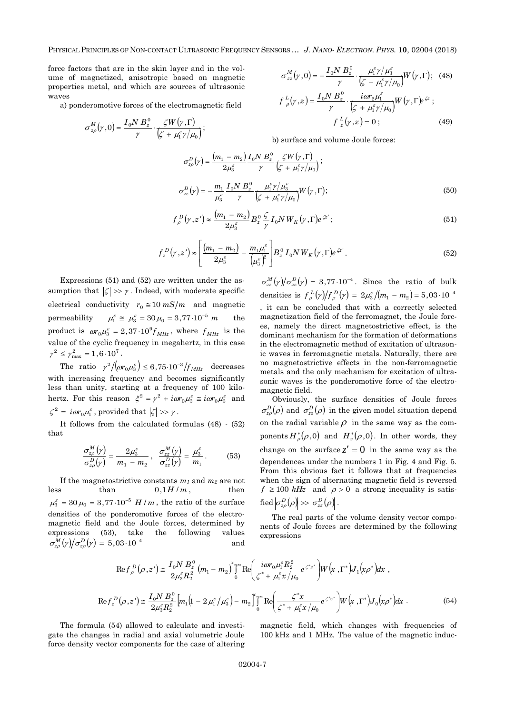PHYSICAL PRINCIPLES OF NON-CONTACT ULTRASONIC FREQUENCY SENSORS … *J. NANO- ELECTRON. PHYS.* **[10](#page-0-2)**, [02004](#page-0-2) [\(2018\)](#page-0-2)

force factors that are in the skin layer and in the volume of magnetized, anisotropic based on magnetic properties metal, and which are sources of ultrasonic waves

а) ponderomotive forces of the electromagnetic field

$$
\sigma_{z\rho}^M(\gamma,0) = \frac{I_0 N B_z^0}{\gamma} \cdot \frac{\zeta W(\gamma,\Gamma)}{\zeta + \mu_1^{\varepsilon} \gamma / \mu_0};
$$

$$
\sigma_{zz}^{M}(\gamma,0) = -\frac{I_0 N B_z^0}{\gamma} \cdot \frac{\mu_1^{\varepsilon} \gamma / \mu_3^{\varepsilon}}{\left(\zeta + \mu_1^{\varepsilon} \gamma / \mu_0\right)} W(\gamma,\Gamma); \quad (48)
$$

$$
f_{\rho}^{L}(\gamma,z) = \frac{I_0 N B_z^0}{\gamma} \cdot \frac{i \omega r_2 \mu_1^{\varepsilon}}{\left(\zeta + \mu_1^{\varepsilon} \gamma / \mu_0\right)} W(\gamma,\Gamma) e^{\zeta z};
$$

$$
f_{z}^{L}(\gamma,z) = 0; \quad (49)
$$

b) surface and volume Joule forces:

$$
\sigma_{z\rho}^{D}(\gamma) = \frac{(m_{1} - m_{2})}{2\mu_{3}^{\varepsilon}} \frac{I_{0}N B_{z}^{0}}{\gamma} \frac{\zeta W(\gamma, \Gamma)}{\left(\zeta + \mu_{1}^{\varepsilon}\gamma/\mu_{0}\right)};
$$
\n
$$
\sigma_{zz}^{D}(\gamma) = -\frac{m_{1}}{\mu_{3}^{\varepsilon}} \frac{I_{0}N B_{z}^{0}}{\gamma} \frac{\mu_{1}^{\varepsilon}\gamma/\mu_{3}^{\varepsilon}}{\left(\zeta + \mu_{1}^{\varepsilon}\gamma/\mu_{0}\right)} W(\gamma, \Gamma); \tag{50}
$$

$$
f_{\rho}^{D}(\gamma, z') \approx \frac{(m_{1} - m_{2})}{2\mu_{3}^{\varepsilon}} B_{z}^{0} \frac{\zeta}{\gamma} I_{0} N W_{K}(\gamma, \Gamma) e^{\zeta z'};
$$
\n(51)

$$
f_z^D(\gamma, z') \approx \left[ \frac{(m_1 - m_2)}{2\mu_3^{\epsilon}} - \frac{m_1\mu_1^{\epsilon}}{(\mu_3^{\epsilon})^2} \right] B_z^0 I_0 N W_K(\gamma, \Gamma) e^{\zeta z'}.
$$
 (52)

Expressions (51) and (52) are written under the assumption that  $|\zeta| \gg \gamma$ . Indeed, with moderate specific electrical conductivity  $r_0 \approx 10 \, mS/m$  and magnetic permeability  $\mu_1^{\varepsilon} \cong \mu_3^{\varepsilon} = 30 \mu_0 = 3{,}77 \cdot 10^{-5}$  *m* the product is  $\omega r_0 \mu_3^{\varepsilon} = 2.37 \cdot 10^9 f_{MHz}$ , where  $f_{MHz}$  is the value of the cyclic frequency in megahertz, in this case  $\gamma^2 \leq \gamma^2_{\rm max} = 1, 6 \cdot 10^7$  .

The ratio  $\gamma^2/(\omega r_0 \mu_3^{\varepsilon}) \leq 6{,}75 {\cdot}10^{-3}/f_{MHz}$  decreases with increasing frequency and becomes significantly less than unity, starting at a frequency of 100 kilohertz. For this reason  $\xi^2 = \gamma^2 + i\omega r_0 \mu_3^{\varepsilon} \equiv i\omega r_0 \mu_3^{\varepsilon}$  and  $\zeta^2 = i\omega r_0 \mu_1^{\varepsilon}$ , provided that  $|\zeta| \gg \gamma$ .

It follows from the calculated formulas (48) - (52) that

$$
\frac{\sigma_{zp}^M(\gamma)}{\sigma_{zp}^D(\gamma)} = \frac{2\mu_3^{\varepsilon}}{m_1 - m_2}, \quad \frac{\sigma_{zz}^M(\gamma)}{\sigma_{zz}^D(\gamma)} = \frac{\mu_3^{\varepsilon}}{m_1}.
$$
 (53)

If the magnetostrictive constants  $m_1$  and  $m_2$  are not less than  $0,1H/m$ , then  $\mu_3^{\varepsilon} = 30 \mu_0 = 3{,}77 \cdot 10^{-5}$  *H* / *m*, the ratio of the surface densities of the ponderomotive forces of the electromagnetic field and the Joule forces, determined by expressions (53), take the following values  $\sigma_{z\rho}^{M}\big(\gamma\big)\!\big/\sigma_{z\rho}^{D}\!\big(\gamma\big) = 5,03\!\cdot\!10^{-4}$ and

 $\sigma_{zz}^M(\gamma)/\sigma_{zz}^D(\gamma) = 3.77 \cdot 10^{-4}$ . Since the ratio of bulk densities is  $f^L_{\rho}(\gamma)/f^D_{\rho}(\gamma) = 2\mu_3^{\varepsilon}/(m_1 - m_2) = 5.03 \cdot 10^{-4}$ , it can be concluded that with a correctly selected magnetization field of the ferromagnet, the Joule forces, namely the direct magnetostrictive effect, is the dominant mechanism for the formation of deformations in the electromagnetic method of excitation of ultrasonic waves in ferromagnetic metals. Naturally, there are no magnetostrictive effects in the non-ferromagnetic metals and the only mechanism for excitation of ultrasonic waves is the ponderomotive force of the electro-

Obviously, the surface densities of Joule forces  $\sigma_{z\rho}^D(\rho)$  and  $\sigma_{zz}^D(\rho)$  in the given model situation depend on the radial variable  $\rho$  in the same way as the components  $H^*_{\rho}(\rho,0)$  and  $H^*_{z}(\rho,0)$ . In other words, they change on the surface  $z' = 0$  in the same way as the dependences under the numbers 1 in Fig. 4 and Fig. 5. From this obvious fact it follows that at frequencies when the sign of alternating magnetic field is reversed  $f \ge 100$  kHz and  $\rho > 0$  a strong inequality is satis- $\text{fied}\left|\sigma_{z\rho}^{D}\!\left(\rho\right)\right|\!\gg\! \left|\sigma_{zz}^{D}\!\left(\rho\right)\right|.$ 

The real parts of the volume density vector components of Joule forces are determined by the following expressions

$$
\operatorname{Re} f_{\rho}^{D}(\rho, z') \cong \frac{I_{0} N B_{z}^{0}}{2\mu_{3}^{\epsilon} R_{2}^{2}} (m_{1} - m_{2}) \int_{0}^{x_{\text{max}}} \operatorname{Re} \left( \frac{i\omega r_{0} \mu_{1}^{\epsilon} R_{2}^{2}}{\zeta^{*} + \mu_{1}^{\epsilon} x/\mu_{0}} e^{\zeta^{*} z^{*}} \right) W(x, \Gamma^{*}) J_{1}(x \rho^{*}) dx ,
$$
  
\n
$$
\operatorname{Re} f_{z}^{D}(\rho, z') \cong \frac{I_{0} N B_{z}^{0}}{2\mu_{3}^{\epsilon} R_{2}^{2}} [m_{1}(1 - 2\mu_{1}^{\epsilon}/\mu_{3}^{\epsilon}) - m_{2}] \int_{0}^{x_{\text{max}}} \operatorname{Re} \left( \frac{\zeta^{*} x}{\zeta^{*} + \mu_{1}^{\epsilon} x/\mu_{0}} e^{\zeta^{*} z^{*}} \right) W(x, \Gamma^{*}) J_{0}(x \rho^{*}) dx .
$$
 (54)

magnetic field.

The formula (54) allowed to calculate and investigate the changes in radial and axial volumetric Joule force density vector components for the case of altering magnetic field, which changes with frequencies of 100 kHz and 1 MHz. The value of the magnetic induc-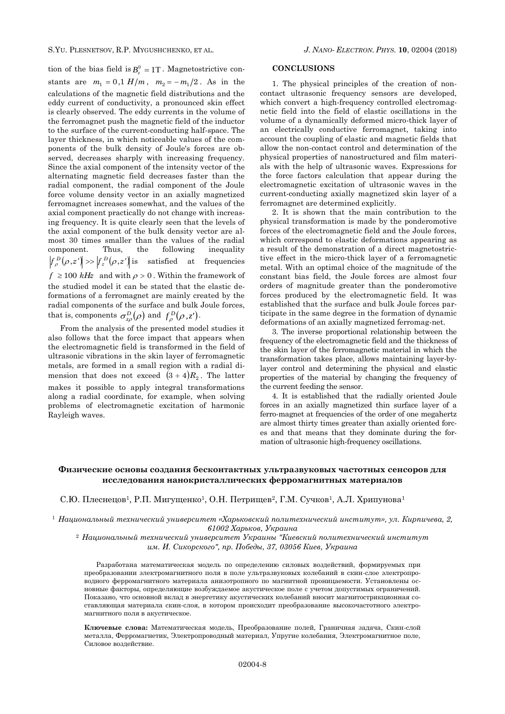tion of the bias field is  $B_z^0 = 1T$ . Magnetostrictive constants are  $m_1 = 0.1$  *H*/*m*,  $m_2 = -m_1/2$ . As in the calculations of the magnetic field distributions and the eddy current of conductivity, a pronounced skin effect is clearly observed. The eddy currents in the volume of the ferromagnet push the magnetic field of the inductor to the surface of the current-conducting half-space. The layer thickness, in which noticeable values of the components of the bulk density of Joule's forces are observed, decreases sharply with increasing frequency. Since the axial component of the intensity vector of the alternating magnetic field decreases faster than the radial component, the radial component of the Joule force volume density vector in an axially magnetized ferromagnet increases somewhat, and the values of the axial component practically do not change with increasing frequency. It is quite clearly seen that the levels of the axial component of the bulk density vector are almost 30 times smaller than the values of the radial component. Thus, the following inequality  $f_{\rho}^{D}(\rho,z') \gg |f_{z}^{D}(\rho,z')|$  is satisfied at frequencies

 $f \geq 100$  kHz and with  $\rho > 0$ . Within the framework of the studied model it can be stated that the elastic deformations of a ferromagnet are mainly created by the radial components of the surface and bulk Joule forces, that is, components  $\sigma_{z\rho}^D(\rho)$  and  $f_{\rho}^D(\rho, z').$ 

From the analysis of the presented model studies it also follows that the force impact that appears when the electromagnetic field is transformed in the field of ultrasonic vibrations in the skin layer of ferromagnetic metals, are formed in a small region with a radial dimension that does not exceed  $(3 \div 4)R_2$ . The latter makes it possible to apply integral transformations along a radial coordinate, for example, when solving problems of electromagnetic excitation of harmonic Rayleigh waves.

### **CONCLUSIONS**

1. The physical principles of the creation of noncontact ultrasonic frequency sensors are developed, which convert a high-frequency controlled electromagnetic field into the field of elastic oscillations in the volume of a dynamically deformed micro-thick layer of an electrically conductive ferromagnet, taking into account the coupling of elastic and magnetic fields that allow the non-contact control and determination of the physical properties of nanostructured and film materials with the help of ultrasonic waves. Expressions for the force factors calculation that appear during the electromagnetic excitation of ultrasonic waves in the current-conducting axially magnetized skin layer of a ferromagnet are determined explicitly.

2. It is shown that the main contribution to the physical transformation is made by the ponderomotive forces of the electromagnetic field and the Joule forces, which correspond to elastic deformations appearing as a result of the demonstration of a direct magnetostrictive effect in the micro-thick layer of a ferromagnetic metal. With an optimal choice of the magnitude of the constant bias field, the Joule forces are almost four orders of magnitude greater than the ponderomotive forces produced by the electromagnetic field. It was established that the surface and bulk Joule forces participate in the same degree in the formation of dynamic deformations of an axially magnetized ferromag-net.

3. The inverse proportional relationship between the frequency of the electromagnetic field and the thickness of the skin layer of the ferromagnetic material in which the transformation takes place, allows maintaining layer-bylayer control and determining the physical and elastic properties of the material by changing the frequency of the current feeding the sensor.

4. It is established that the radially oriented Joule forces in an axially magnetized thin surface layer of a ferro-magnet at frequencies of the order of one megahertz are almost thirty times greater than axially oriented forces and that means that they dominate during the formation of ultrasonic high-frequency oscillations.

# **Физические основы создания бесконтактных ультразвуковых частотных сенсоров для исследования нанокристаллических ферромагнитных материалов**

С.Ю. Плеснецов<sup>1</sup>, Р.П. Мигущенко<sup>1</sup>, О.Н. Петрищев<sup>2</sup>, Г.М. Сучков<sup>1</sup>, А.Л. Хрипунова<sup>1</sup>

<sup>1</sup> *Национальный технический университет «Харьковский политехнический институт», ул. Кирпичева, 2, 61002 Харьков, Украина*

<sup>2</sup> *Национальный технический университет Украины "Киевский политехнический институт им. И. Сикорского", пр. Победы, 37, 03056 Киев, Украина*

Разработана математическая модель по определению силовых воздействий, формируемых при преобразовании электромагнитного поля в поле ультразвуковых колебаний в скин-слое электропроводного ферромагнитного материала анизотропного по магнитной проницаемости. Установлены основные факторы, определяющие возбуждаемое акустическое поле с учетом допустимых ограничений. Показано, что основной вклад в энергетику акустических колебаний вносит магнитострикционная составляющая материала скин-слоя, в котором происходит преобразование высокочастотного электромагнитного поля в акустическое.

**Ключевые слова:** Математическая модель, Преобразование полей, Граничная задача, Скин-слой металла, Ферромагнетик, Электропроводный материал, Упругие колебания, Электромагнитное поле, Силовое воздействие.